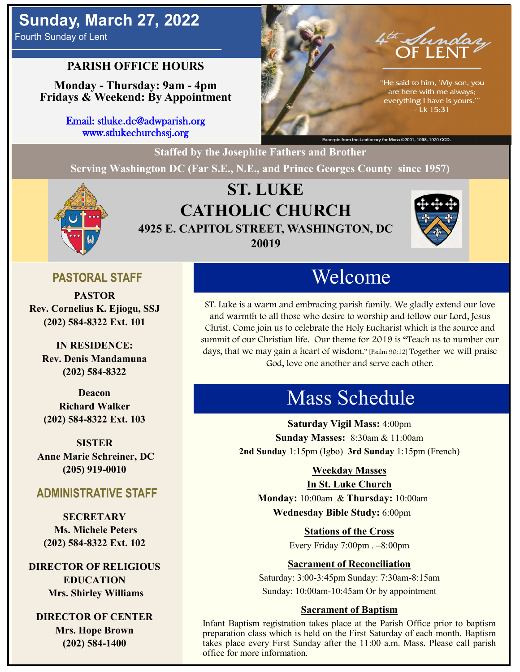# **Sunday, March 27, 2022** Fourth Sunday of Lent

**PARISH OFFICE HOURS**

**Monday - Thursday: 9am - 4pm Fridays & Weekend: By Appointment**

> Email: stluke.dc@adwparish.org www.stlukechurchssj.org



**Staffed by the Josephite Fathers and Brother**

**Serving Washington DC (Far S.E., N.E., and Prince Georges County since 1957)**



# **ST. LUKE CATHOLIC CHURCH 4925 E. CAPITOL STREET, WASHINGTON, DC 20019**



## **PASTORAL STAFF**

**PASTOR Rev. Cornelius K. Ejiogu, SSJ (202) 584-8322 Ext. 101**

**IN RESIDENCE: Rev. Denis Mandamuna (202) 584-8322** 

**Deacon Richard Walker (202) 584-8322 Ext. 103**

**SISTER Anne Marie Schreiner, DC (205) 919-0010**

### **ADMINISTRATIVE STAFF**

**SECRETARY Ms. Michele Peters (202) 584-8322 Ext. 102**

**DIRECTOR OF RELIGIOUS EDUCATION Mrs. Shirley Williams**

**DIRECTOR OF CENTER Mrs. Hope Brown (202) 584-1400**

# Welcome

ST. Luke is a warm and embracing parish family. We gladly extend our love and warmth to all those who desire to worship and follow our Lord, Jesus Christ. Come join us to celebrate the Holy Eucharist which is the source and summit of our Christian life. Our theme for 2019 is "Teach us to number our days, that we may gain a heart of wisdom." [Psalm 90:12] Together we will praise God, love one another and serve each other.

# Mass Schedule

**Saturday Vigil Mass:** 4:00pm **Sunday Masses:** 8:30am & 11:00am **2nd Sunday** 1:15pm (Igbo) **3rd Sunday** 1:15pm (French)

### **Weekday Masses**

### **In St. Luke Church**

**Monday:** 10:00am & **Thursday:** 10:00am **Wednesday Bible Study:** 6:00pm

**Stations of the Cross**

Every Friday 7:00pm . –8:00pm

### **Sacrament of Reconciliation**

Saturday: 3:00-3:45pm Sunday: 7:30am-8:15am Sunday: 10:00am-10:45am Or by appointment

### **Sacrament of Baptism**

Infant Baptism registration takes place at the Parish Office prior to baptism preparation class which is held on the First Saturday of each month. Baptism takes place every First Sunday after the 11:00 a.m. Mass. Please call parish office for more information.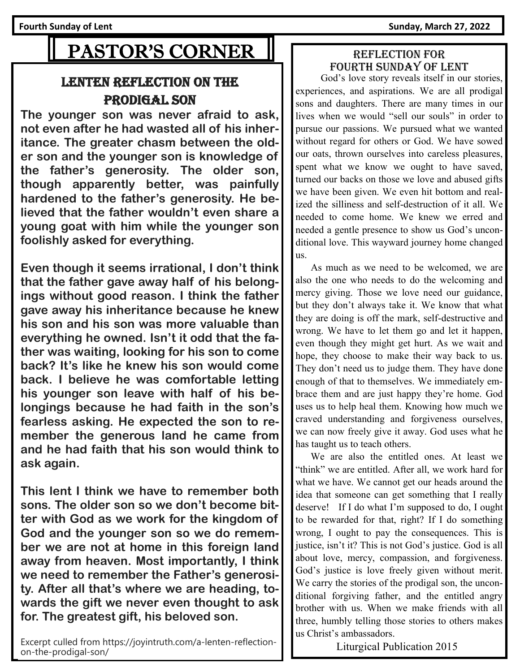Fourth Sunday of Lent Sunday, March 27, 2022 **Sunday, March 27, 2022** 

# PASTOR'S CORNER

# LENTEN REFLECTION ON THE PRODIGAL SON

**The younger son was never afraid to ask, not even after he had wasted all of his inheritance. The greater chasm between the older son and the younger son is knowledge of the father's generosity. The older son, though apparently better, was painfully hardened to the father's generosity. He believed that the father wouldn't even share a young goat with him while the younger son foolishly asked for everything.**

**Even though it seems irrational, I don't think that the father gave away half of his belongings without good reason. I think the father gave away his inheritance because he knew his son and his son was more valuable than everything he owned. Isn't it odd that the father was waiting, looking for his son to come back? It's like he knew his son would come back. I believe he was comfortable letting his younger son leave with half of his belongings because he had faith in the son's fearless asking. He expected the son to remember the generous land he came from and he had faith that his son would think to ask again.**

**This lent I think we have to remember both sons. The older son so we don't become bitter with God as we work for the kingdom of God and the younger son so we do remember we are not at home in this foreign land away from heaven. Most importantly, I think we need to remember the Father's generosity. After all that's where we are heading, towards the gift we never even thought to ask for. The greatest gift, his beloved son.**

Excerpt culled from https://joyintruth.com/a-lenten-reflectionon-the-prodigal-son/

## Reflection for Fourth Sunday of lent

 God's love story reveals itself in our stories, experiences, and aspirations. We are all prodigal sons and daughters. There are many times in our lives when we would "sell our souls" in order to pursue our passions. We pursued what we wanted without regard for others or God. We have sowed our oats, thrown ourselves into careless pleasures, spent what we know we ought to have saved, turned our backs on those we love and abused gifts we have been given. We even hit bottom and realized the silliness and self-destruction of it all. We needed to come home. We knew we erred and needed a gentle presence to show us God's unconditional love. This wayward journey home changed us.

 As much as we need to be welcomed, we are also the one who needs to do the welcoming and mercy giving. Those we love need our guidance, but they don't always take it. We know that what they are doing is off the mark, self-destructive and wrong. We have to let them go and let it happen, even though they might get hurt. As we wait and hope, they choose to make their way back to us. They don't need us to judge them. They have done enough of that to themselves. We immediately embrace them and are just happy they're home. God uses us to help heal them. Knowing how much we craved understanding and forgiveness ourselves, we can now freely give it away. God uses what he has taught us to teach others.

 We are also the entitled ones. At least we "think" we are entitled. After all, we work hard for what we have. We cannot get our heads around the idea that someone can get something that I really deserve! If I do what I'm supposed to do, I ought to be rewarded for that, right? If I do something wrong, I ought to pay the consequences. This is justice, isn't it? This is not God's justice. God is all about love, mercy, compassion, and forgiveness. God's justice is love freely given without merit. We carry the stories of the prodigal son, the unconditional forgiving father, and the entitled angry brother with us. When we make friends with all three, humbly telling those stories to others makes us Christ's ambassadors.

Liturgical Publication 2015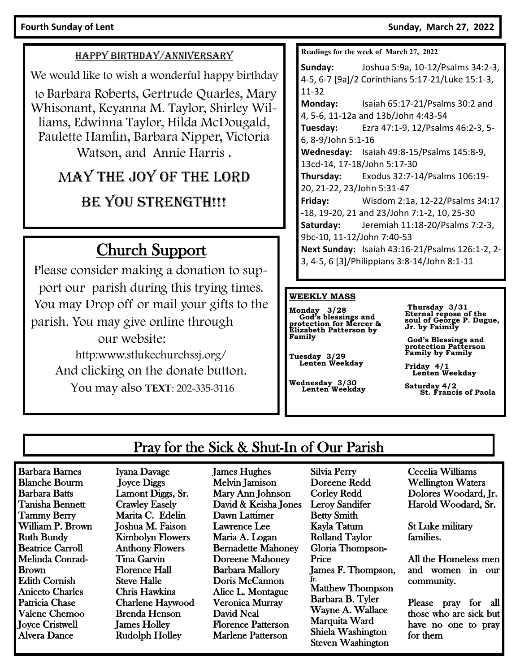### Fourth Sunday of Lent **Sunday of Lent** Sunday, March 27, 2022

### HAPPY BIRTHDAY/ANNIVERSARY

We would like to wish a wonderful happy birthday

to Barbara Roberts, Gertrude Quarles, Mary Whisonant, Keyanna M. Taylor, Shirley Williams, Edwinna Taylor, Hilda McDougald, Paulette Hamlin, Barbara Nipper, Victoria Watson, and Annie Harris .

# MAY THE JOY OF THE LORD

## BE YOU STRENGTH!!!

# Church Support

Please consider making a donation to support our parish during this trying times. You may Drop off or mail your gifts to the parish. You may give online through our website: http:www.stlukechurchssj.org/ And clicking on the donate button.

You may also **TEXT**: 202-335-3116

**Readings for the week of March 27, 2022**

**Sunday:** Joshua 5:9a, 10-12/Psalms 34:2-3, 4-5, 6-7 [9a]/2 Corinthians 5:17-21/Luke 15:1-3, 11-32 **Monday:** Isaiah 65:17-21/Psalms 30:2 and 4, 5-6, 11-12a and 13b/John 4:43-54 **Tuesday:** Ezra 47:1-9, 12/Psalms 46:2-3, 5- 6, 8-9/John 5:1-16 **Wednesday:** Isaiah 49:8-15/Psalms 145:8-9, 13cd-14, 17-18/John 5:17-30 **Thursday:** Exodus 32:7-14/Psalms 106:19- 20, 21-22, 23/John 5:31-47 **Friday:** Wisdom 2:1a, 12-22/Psalms 34:17 -18, 19-20, 21 and 23/John 7:1-2, 10, 25-30 **Saturday:** Jeremiah 11:18-20/Psalms 7:2-3, 9bc-10, 11-12/John 7:40-53 **Next Sunday:** Isaiah 43:16-21/Psalms 126:1-2, 2- 3, 4-5, 6 [3]/Philippians 3:8-14/John 8:1-11

### **WEEKLY MASS**

**Monday 3/28 God's blessings and protection for Mercer & Elizabeth Patterson by Family** 

**Tuesday 3/29**

**Wednesday 3/30 Lenten Weekday**

 **Lenten Weekday**

**Thursday 3/31 Eternal repose of the soul of George P. Dugue, Jr. by Faimily**

**God's Blessings and protection Patterson Family by Family** 

**Friday 4/1 Lenten Weekday** 

**Saturday 4/2 St. Francis of Paola** 

## Pray for the Sick & Shut-In of Our Parish

Barbara Barnes Blanche Bourm Barbara Batts Tanisha Bennett Tammy Berry William P. Brown Ruth Bundy Beatrice Carroll Melinda Conrad-Brown Edith Cornish Aniceto Charles Patricia Chase Valene Chemoo Joyce Cristwell Alvera Dance

Iyana Davage Joyce Diggs Lamont Diggs, Sr. Crawley Easely Marita C. Edelin Joshua M. Faison Kimbolyn Flowers Anthony Flowers Tina Garvin Florence Hall Steve Halle Chris Hawkins Charlene Haywood Brenda Henson James Holley Rudolph Holley

James Hughes Melvin Jamison Mary Ann Johnson David & Keisha Jones Dawn Lattimer Lawrence Lee Maria A. Logan Bernadette Mahoney Doreene Mahoney Barbara Mallory Doris McCannon Alice L. Montague Veronica Murray David Neal Florence Patterson Marlene Patterson

Silvia Perry Doreene Redd Corley Redd Leroy Sandifer Betty Smith Kayla Tatum Rolland Taylor Gloria Thompson-Price James F. Thompson, Jr. Matthew Thompson Barbara B. Tyler Wayne A. Wallace Marquita Ward Shiela Washington Steven Washington

Cecelia Williams Wellington Waters Dolores Woodard, Jr. Harold Woodard, Sr.

St Luke military families.

All the Homeless men and women in our community.

Please pray for all those who are sick but have no one to pray for them